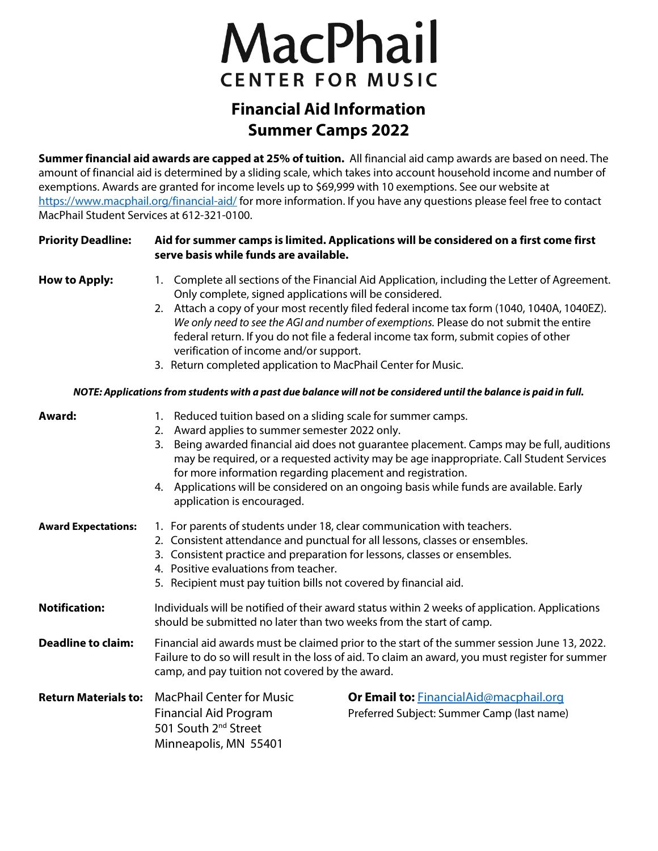# MacPhail **CENTER FOR MUSIC**

# **Financial Aid Information Summer Camps 2022**

**Summer financial aid awards are capped at 25% of tuition.** All financial aid camp awards are based on need. The amount of financial aid is determined by a sliding scale, which takes into account household income and number of exemptions. Awards are granted for income levels up to \$69,999 with 10 exemptions. See our website at <https://www.macphail.org/financial-aid/> for more information. If you have any questions please feel free to contact MacPhail Student Services at 612-321-0100.

# **Priority Deadline: Aid for summer camps is limited. Applications will be considered on a first come first serve basis while funds are available.**

- **How to Apply:** 1. Complete all sections of the Financial Aid Application, including the Letter of Agreement. Only complete, signed applications will be considered.
	- 2. Attach a copy of your most recently filed federal income tax form (1040, 1040A, 1040EZ). *We only need to see the AGI and number of exemptions.* Please do not submit the entire federal return. If you do not file a federal income tax form, submit copies of other verification of income and/or support.
	- 3. Return completed application to MacPhail Center for Music.

## *NOTE: Applications from students with a past due balance will not be considered until the balance is paid in full.*

| Award:                      | 1. Reduced tuition based on a sliding scale for summer camps.<br>2. Award applies to summer semester 2022 only.<br>3. Being awarded financial aid does not guarantee placement. Camps may be full, auditions<br>may be required, or a requested activity may be age inappropriate. Call Student Services<br>for more information regarding placement and registration.<br>4. Applications will be considered on an ongoing basis while funds are available. Early<br>application is encouraged. |                                                                                             |  |  |  |
|-----------------------------|-------------------------------------------------------------------------------------------------------------------------------------------------------------------------------------------------------------------------------------------------------------------------------------------------------------------------------------------------------------------------------------------------------------------------------------------------------------------------------------------------|---------------------------------------------------------------------------------------------|--|--|--|
| <b>Award Expectations:</b>  | 1. For parents of students under 18, clear communication with teachers.<br>2. Consistent attendance and punctual for all lessons, classes or ensembles.<br>3. Consistent practice and preparation for lessons, classes or ensembles.<br>4. Positive evaluations from teacher.<br>5. Recipient must pay tuition bills not covered by financial aid.                                                                                                                                              |                                                                                             |  |  |  |
| <b>Notification:</b>        | Individuals will be notified of their award status within 2 weeks of application. Applications<br>should be submitted no later than two weeks from the start of camp.                                                                                                                                                                                                                                                                                                                           |                                                                                             |  |  |  |
| <b>Deadline to claim:</b>   | Financial aid awards must be claimed prior to the start of the summer session June 13, 2022.<br>Failure to do so will result in the loss of aid. To claim an award, you must register for summer<br>camp, and pay tuition not covered by the award.                                                                                                                                                                                                                                             |                                                                                             |  |  |  |
| <b>Return Materials to:</b> | <b>MacPhail Center for Music</b><br><b>Financial Aid Program</b><br>501 South 2 <sup>nd</sup> Street<br>Minneapolis, MN 55401                                                                                                                                                                                                                                                                                                                                                                   | <b>Or Email to: FinancialAid@macphail.org</b><br>Preferred Subject: Summer Camp (last name) |  |  |  |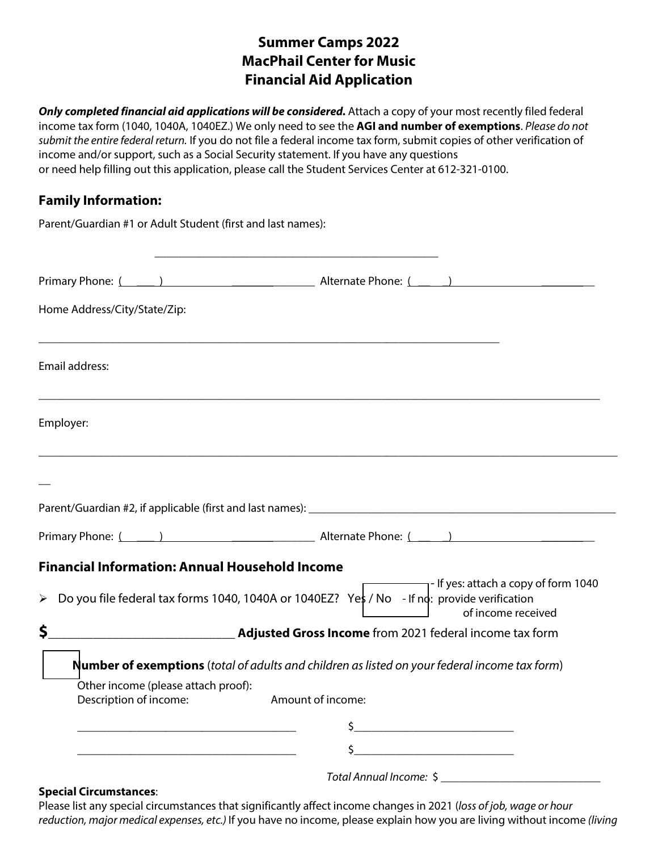# **Summer Camps 2022 MacPhail Center for Music Financial Aid Application**

Only completed financial aid applications will be considered. Attach a copy of your most recently filed federal income tax form (1040, 1040A, 1040EZ.) We only need to see the **AGI and number of exemptions**. *Please do not submit the entire federal return.* If you do not file a federal income tax form, submit copies of other verification of income and/or support, such as a Social Security statement. If you have any questions or need help filling out this application, please call the Student Services Center at 612-321-0100.

# **Family Information:**

|                              | Parent/Guardian #1 or Adult Student (first and last names):                                                                                                                        |
|------------------------------|------------------------------------------------------------------------------------------------------------------------------------------------------------------------------------|
|                              | <u> 1980 - Andrea Stadt Britain, amerikansk politik (* 1908)</u><br>Primary Phone: (1992) 2012 2022 2023 Alternate Phone: (2003) 2023 2024 2024 2024 2024 2024 2022 2024 2022 2024 |
| Home Address/City/State/Zip: |                                                                                                                                                                                    |
| Email address:               |                                                                                                                                                                                    |
| Employer:                    |                                                                                                                                                                                    |
|                              |                                                                                                                                                                                    |
|                              |                                                                                                                                                                                    |
|                              |                                                                                                                                                                                    |
|                              | <b>Financial Information: Annual Household Income</b>                                                                                                                              |
|                              | $\blacksquare$ - If yes: attach a copy of form 1040<br>▶ Do you file federal tax forms 1040, 1040A or 1040EZ? Yes / No - If no: provide verification<br>of income received         |
| \$                           | Adjusted Gross Income from 2021 federal income tax form                                                                                                                            |
|                              | <b>Number of exemptions</b> (total of adults and children as listed on your federal income tax form)                                                                               |
|                              | Other income (please attach proof):<br>Description of income: Amount of income:                                                                                                    |
|                              |                                                                                                                                                                                    |
|                              | \$                                                                                                                                                                                 |
|                              | Total Annual Income: \$                                                                                                                                                            |

#### **Special Circumstances**:

Please list any special circumstances that significantly affect income changes in 2021 (*loss of job, wage or hour reduction, major medical expenses, etc.)* If you have no income, please explain how you are living without income *(living*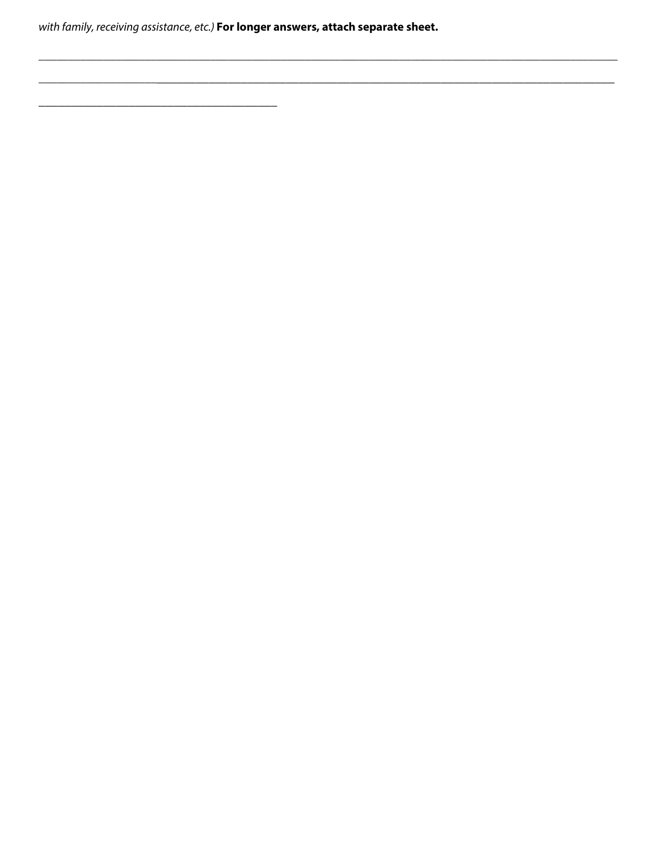with family, receiving assistance, etc.) For longer answers, attach separate sheet.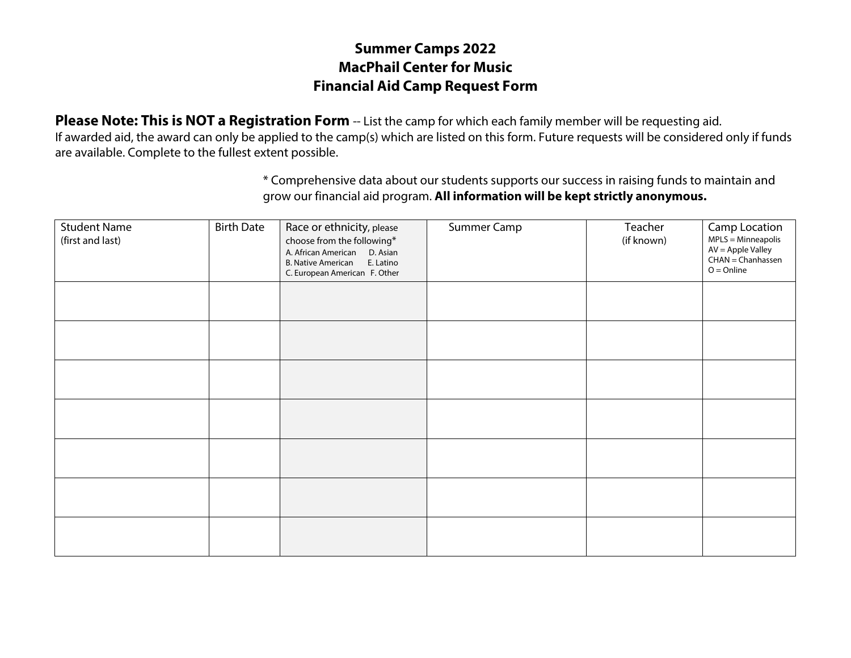# **Summer Camps 2022 MacPhail Center for Music Financial Aid Camp Request Form**

**Please Note: This is NOT a Registration Form** -- List the camp for which each family member will be requesting aid. If awarded aid, the award can only be applied to the camp(s) which are listed on this form. Future requests will be considered only if funds are available. Complete to the fullest extent possible.

> \* Comprehensive data about our students supports our success in raising funds to maintain and grow our financial aid program. **All information will be kept strictly anonymous.**

| <b>Student Name</b><br>(first and last) | <b>Birth Date</b> | Race or ethnicity, please<br>choose from the following*<br>A. African American D. Asian<br>E. Latino<br><b>B. Native American</b><br>C. European American F. Other | Summer Camp | Teacher<br>(if known) | Camp Location<br>$MPLS = Minneapolis$<br>AV = Apple Valley<br>CHAN = Chanhassen<br>$O = Online$ |
|-----------------------------------------|-------------------|--------------------------------------------------------------------------------------------------------------------------------------------------------------------|-------------|-----------------------|-------------------------------------------------------------------------------------------------|
|                                         |                   |                                                                                                                                                                    |             |                       |                                                                                                 |
|                                         |                   |                                                                                                                                                                    |             |                       |                                                                                                 |
|                                         |                   |                                                                                                                                                                    |             |                       |                                                                                                 |
|                                         |                   |                                                                                                                                                                    |             |                       |                                                                                                 |
|                                         |                   |                                                                                                                                                                    |             |                       |                                                                                                 |
|                                         |                   |                                                                                                                                                                    |             |                       |                                                                                                 |
|                                         |                   |                                                                                                                                                                    |             |                       |                                                                                                 |